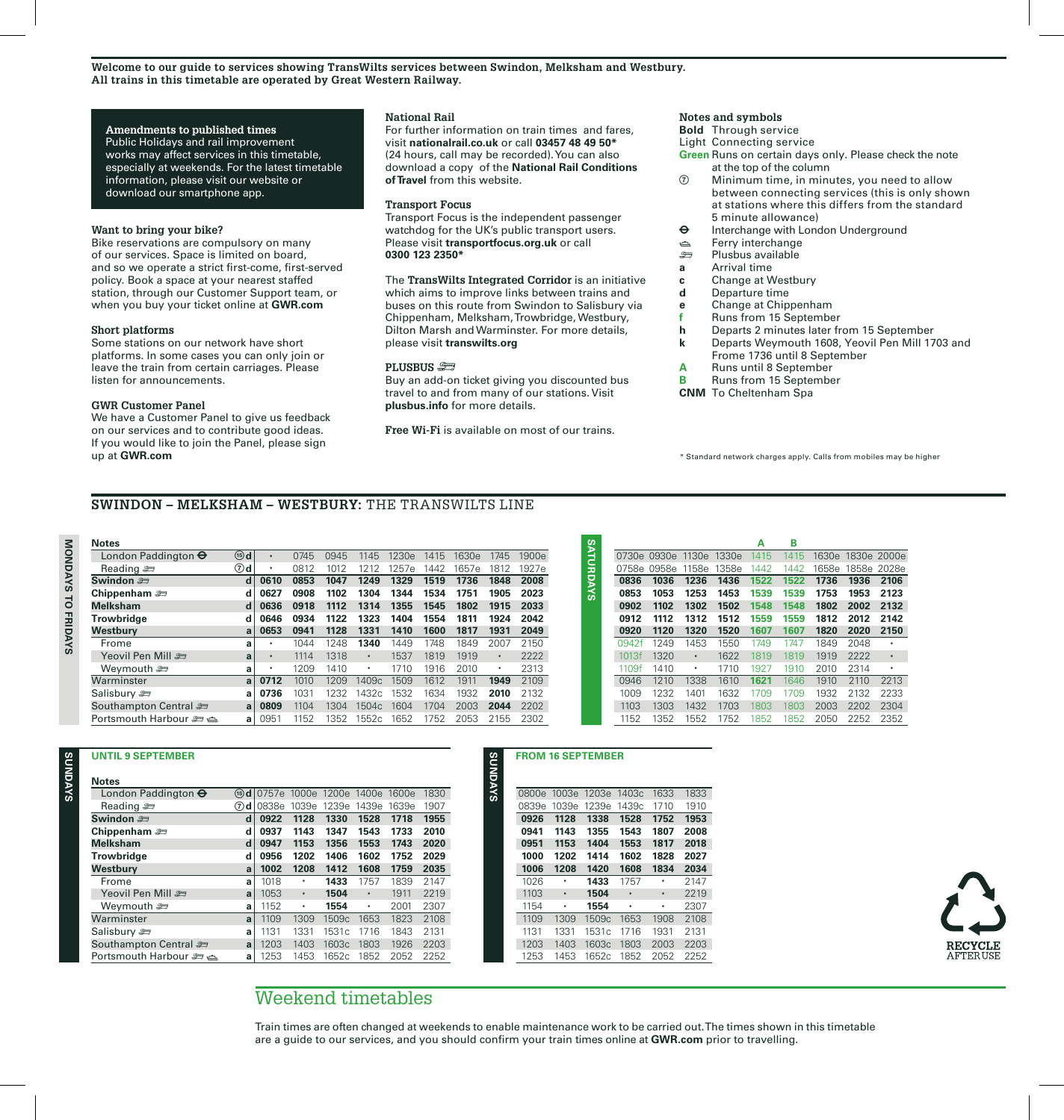## **Amendments to published times**

Public Holidays and rail improvement works may affect services in this timetable, especially at weekends. For the latest timetable information, please visit our website or download our smartphone app.

# **Want to bring your bike?**

Bike reservations are compulsory on many of our services. Space is limited on board, and so we operate a strict first-come, first-served policy. Book a space at your nearest staffed station, through our Customer Support team, or when you buy your ticket online at **GWR.com**

### **Short platforms**

Some stations on our network have short platforms. In some cases you can only join or leave the train from certain carriages. Please listen for announcements.

# **GWR Customer Panel**

We have a Customer Panel to give us feedback on our services and to contribute good ideas. If you would like to join the Panel, please sign up at **GWR.com**

## **National Rail**

For further information on train times and fares, visit **nationalrail.co.uk** or call **03457 48 49 50\***  (24 hours, call may be recorded). You can also download a copy of the **National Rail Conditions of Travel** from this website.

### **Transport Focus**

Transport Focus is the independent passenger watchdog for the UK's public transport users. Please visit **transportfocus.org.uk** or call **0300 123 2350\***

## The **TransWilts Integrated Corridor** is an initiative which aims to improve links between trains and buses on this route from Swindon to Salisbury via Chippenham, Melksham, Trowbridge, Westbury, Dilton Marsh and Warminster. For more details,

please visit **transwilts.org**

#### **PLUSBUS**

Buy an add-on ticket giving you discounted bus travel to and from many of our stations. Visit **plusbus.info** for more details.

**Free Wi-Fi** is available on most of our trains.

# **Notes and symbols**

**Bold** Through service

Light Connecting service

- **Green** Runs on certain days only. Please check the note at the top of the column
- Minimum time, in minutes, you need to allow between connecting services (this is only show at stations where this differs from the standard 5 minute allowance)
- $\Theta$  Interchange with London Underground
- es Ferry interchange<br>بو Plushus available
- ) Plusbus available
- **a** Arrival time
- **c Change at Westbury**<br>**d Departure time**
- **d** Departure time
- **e** Change at Chippenham
- **f** Runs from 15 September<br>**h** Departs 2 minutes later fr
- **h** Departs 2 minutes later from 15 September
- **k** Departs Weymouth 1608, Yeovil Pen Mill 1703 and Frome 1736 until 8 September
- **A** Runs until 8 September<br>**B** Runs from 15 September
- **B** Runs from 15 September
- **CNM** To Cheltenham Spa

\* Standard network charges apply. Calls from mobiles may be higher

# **SWINDON – MELKSHAM – WESTBURY:** THE TRANSWILTS LINE

| <b>Notes</b>                 |                  |      |                |                                  |            |                    |      |       |         |                          |                |                   |                         |                         |                |                                                                                                                    | А    | в          |
|------------------------------|------------------|------|----------------|----------------------------------|------------|--------------------|------|-------|---------|--------------------------|----------------|-------------------|-------------------------|-------------------------|----------------|--------------------------------------------------------------------------------------------------------------------|------|------------|
| London Paddington $\Theta$   | $(15)$ d         | ٠    | 0745           | 0945                             | 1145       | 1230e              | 1415 | 1630e | 1745    | 1900e                    |                | <b>SYADRIANS</b>  |                         | 0730e 0930e 1130e 1330e |                |                                                                                                                    | 1415 | 141        |
| Reading $\approx$            | $\circledcirc$ d |      | 0812           | 1012                             | 1212       | 1257e              | 1442 | 1657e | 1812    | 1927e                    |                |                   |                         | 0758e 0958e             | 1158e 1358e    |                                                                                                                    | 1442 | 144        |
| Swindon <i>≅</i>             | d                | 0610 | 0853           | 1047                             | 1249       | 1329               | 1519 | 1736  | 1848    | 2008                     |                |                   | 0836                    | 1036                    | 1236           | 1436                                                                                                               | 1522 | 152        |
| Chippenham $\equiv$          | d                | 0627 | 0908           | 1102                             | 1304       | 1344               | 1534 | 1751  | 1905    | 2023                     |                |                   | 0853                    | 1053                    | 1253           | 1453                                                                                                               | 1539 | 153        |
| <b>Melksham</b>              | d                | 0636 | 0918           | 1112                             | 1314       | 1355               | 1545 | 1802  | 1915    | 2033                     |                |                   | 0902                    | 1102                    | 1302           | 1502                                                                                                               | 1548 | 154        |
| Trowbridge                   | d                | 0646 | 0934           | 1122                             | 1323       | 1404               | 1554 | 1811  | 1924    | 2042                     |                |                   | 0912                    | 1112                    | 1312           | 1512                                                                                                               | 1559 | 155        |
| Westbury                     | a                | 0653 | 0941           | 1128                             | 1331       | 1410               | 1600 | 1817  | 1931    | 2049                     |                |                   | 0920                    | 1120                    | 1320           | 1520                                                                                                               | 1607 | 160        |
| Frome                        | a                | ٠    | 1044           | 1248                             | 1340       | 1449               | 1748 | 1849  | 2007    | 2150                     |                |                   | 0942f                   | 1249                    | 1453           | 1550                                                                                                               | 1749 | 174        |
| Yeovil Pen Mill              | a                | ٠    | 1114           | 1318                             | ٠          | 1537               | 1819 | 1919  | $\cdot$ | 2222                     |                |                   | 1013f                   | 1320                    | $\bullet$      | 1622                                                                                                               | 1819 | 181        |
| Wevmouth එ                   | a                | ٠    | 1209           | 1410                             | $\cdot$    | 1710               | 1916 | 2010  | $\cdot$ | 2313                     |                |                   | 1109f                   | 1410                    | $\blacksquare$ | 1710                                                                                                               | 1927 | 191        |
| Warminster                   | a                | 0712 | 1010           | 1209                             | 1409c      | 1509               | 1612 | 1911  | 1949    | 2109                     |                |                   | 0946                    | 1210                    | 1338           | 1610                                                                                                               | 1621 | 164        |
| Salisbury 2                  | a                | 0736 | 1031           | 1232                             | 1432c      | 1532               | 1634 | 1932  | 2010    | 2132                     |                |                   | 1009                    | 1232                    | 1401           | 1632                                                                                                               | 1709 | 170        |
| Southampton Central          | a                | 0809 | 1104           | 1304                             | 1504c      | 1604               | 1704 | 2003  | 2044    | 2202                     |                |                   | 1103                    | 1303                    | 1432           | 1703                                                                                                               | 1803 | <b>180</b> |
| Portsmouth Harbour $\approx$ | a                | 0951 | 1152           | 1352                             | 1552c 1652 |                    | 1752 | 2053  | 2155    | 2302                     |                |                   | 1152                    | 1352                    | 1552           | 1752                                                                                                               | 1852 | 185        |
|                              |                  |      |                |                                  |            |                    |      |       |         |                          |                |                   |                         |                         |                |                                                                                                                    |      |            |
| <b>UNTIL 9 SEPTEMBER</b>     |                  |      |                |                                  |            |                    |      |       | SYAQNUS | <b>FROM 16 SEPTEMBER</b> |                |                   |                         |                         |                |                                                                                                                    |      |            |
| <b>Notes</b>                 |                  |      |                |                                  |            |                    |      |       |         |                          |                |                   |                         |                         |                |                                                                                                                    |      |            |
| London Paddington $\Theta$   |                  |      |                | 1600e 1600e 1200e 1400e 1600e    |            |                    | 1830 |       |         |                          |                |                   | 0800e 1003e 1203e 1403c | 1633                    | 1833           |                                                                                                                    |      |            |
| Reading a                    |                  |      |                | 7d 0838e 1039e 1239e 1439e 1639e |            |                    | 1907 |       |         |                          |                |                   | 0839e 1039e 1239e 1439c | 1710                    | 1910           |                                                                                                                    |      |            |
| Swindon 2                    | d                | 0922 | 1128           | 1330                             | 1528       | 1718               | 1955 |       |         | 0926                     | 1128           | 1338              | 1528                    | 1752                    | 1953           |                                                                                                                    |      |            |
| Chippenham $\equiv$          | d                | 0937 | 1143           | 1347                             | 1543       | 1733               | 2010 |       |         | 0941                     | 1143           | 1355              | 1543                    | 1807                    | 2008           |                                                                                                                    |      |            |
| <b>Melksham</b>              | d                | 0947 | 1153           | 1356                             | 1553       | 1743               | 2020 |       |         | 0951                     | 1153           | 1404              | 1553                    | 1817                    | 2018           |                                                                                                                    |      |            |
| <b>Trowbridge</b>            | d                | 0956 | 1202           | 1406                             | 1602       | 1752               | 2029 |       |         | 1000                     | 1202           | 1414              | 1602                    | 1828                    | 2027           |                                                                                                                    |      |            |
| Westbury                     | a                | 1002 | 1208           | 1412                             | 1608       | 1759               | 2035 |       |         | 1006                     | 1208           | 1420              | 1608                    | 1834                    | 2034           |                                                                                                                    |      |            |
| Frome                        | a                | 1018 | ٠              | 1433                             | 1757       | 1839               | 2147 |       |         | 1026                     | $\blacksquare$ | 1433              | 1757                    | $\cdot$                 | 2147           |                                                                                                                    |      |            |
| <del>ڪ</del> Yeovil Pen Mill | a                | 1053 | $\blacksquare$ | 1504                             | ٠          | 1911               | 2219 |       |         | 1103                     | ٠              | 1504              | ٠                       | $\bullet$               | 2219           |                                                                                                                    |      |            |
| Wevmouth <i>s</i>            | a                | 1152 | $\blacksquare$ | 1554                             |            | 2001               | 2307 |       |         | 1154                     | ٠              | 1554              | $\cdot$                 |                         | 2307           |                                                                                                                    |      |            |
| Warminster                   | a                | 1109 | 1309           | 1509c                            | 1653       | 1823               | 2108 |       |         | 1109                     | 1309           | 1509 <sub>c</sub> | 1653                    | 1908                    | 2108           |                                                                                                                    |      |            |
| Salisbury 2                  | a                | 1131 | 1331           | 1531c                            | 1716       | 1843               | 2131 |       |         | 1131                     | 1331           | 1531c             | 1716                    | 1931                    | 2131           |                                                                                                                    |      |            |
| Southampton Central          | a                | 1203 | 1403           | 1603c                            | 1803       | 1926               | 2203 |       |         | 1203                     | 1403           | 1603c             | 1803                    | 2003                    | 2203           |                                                                                                                    |      |            |
| Portsmouth Harbour $\approx$ | a                | 1253 | 1453           | 1652c                            | 1852       | 2052               | 2252 |       |         | 1253                     | 1453           | 1652c             | 1852                    | 2052                    | 2252           |                                                                                                                    |      |            |
|                              |                  |      |                |                                  |            |                    |      |       |         |                          |                |                   |                         |                         |                |                                                                                                                    |      |            |
|                              |                  |      |                |                                  |            | Weekend timetables |      |       |         |                          |                |                   |                         |                         |                | Train times are often changed at weekends to enable maintenance work to be carried out. The times shown i          |      |            |
|                              |                  |      |                |                                  |            |                    |      |       |         |                          |                |                   |                         |                         |                | are a guide to our services, and you should confirm your train times online at <b>GWR.com</b> prior to travelling. |      |            |

|       |       |       |       | А    | в    |       |       |             |
|-------|-------|-------|-------|------|------|-------|-------|-------------|
| 0730e | 0930e | 1130e | 1330e | 1415 | 1415 | 1630e |       | 1830e 2000e |
| 0758e | 0958e | 1158e | 1358e | 1442 | 1442 | 1658e | 1858e | 2028e       |
| 0836  | 1036  | 1236  | 1436  | 1522 | 1522 | 1736  | 1936  | 2106        |
| 0853  | 1053  | 1253  | 1453  | 1539 | 1539 | 1753  | 1953  | 2123        |
| 0902  | 1102  | 1302  | 1502  | 1548 | 1548 | 1802  | 2002  | 2132        |
| 0912  | 1112  | 1312  | 1512  | 1559 | 1559 | 1812  | 2012  | 2142        |
| 0920  | 1120  | 1320  | 1520  | 1607 | 1607 | 1820  | 2020  | 2150        |
| 0942f | 1249  | 1453  | 1550  | 1749 | 1747 | 1849  | 2048  | ٠           |
| 1013f | 1320  | ٠     | 1622  | 1819 | 1819 | 1919  | 2222  | ٠           |
| 1109f | 1410  | ٠     | 1710  | 1927 | 1910 | 2010  | 2314  | ٠           |
| 0946  | 1210  | 1338  | 1610  | 1621 | 1646 | 1910  | 2110  | 2213        |
| 1009  | 1232  | 1401  | 1632  | 1709 | 1709 | 1932  | 2132  | 2233        |
| 1103  | 1303  | 1432  | 1703  | 1803 | 1803 | 2003  | 2202  | 2304        |
| 1152  | 1352  | 1552  | 1752  | 1852 | 1852 | 2050  | 2252  | 2352        |

| <b>UNTIL 9 SEPTEMBER</b>     |              |                   |       |                   |       |       |      |         |       |       | <b>FROM 16 SEPTEMBER</b> |   |
|------------------------------|--------------|-------------------|-------|-------------------|-------|-------|------|---------|-------|-------|--------------------------|---|
| <b>Notes</b>                 |              |                   |       |                   |       |       |      | SYADAYS |       |       |                          |   |
| London Paddington $\Theta$   |              | $(5)$ d $(0757e)$ |       | 1000e 1200e 1400e |       | 1600e | 1830 |         | 0800e |       | 1003e 1203e 14           |   |
| Reading $\equiv$             |              | $(7)$ d 10838e    | 1039e | 1239e             | 1439e | 1639e | 1907 |         | 0839e | 1039e | 1239e 14                 |   |
| Swindon =                    | d            | 0922              | 1128  | 1330              | 1528  | 1718  | 1955 |         | 0926  | 1128  | 1338                     | 1 |
| Chippenham $\equiv$          | d            | 0937              | 1143  | 1347              | 1543  | 1733  | 2010 |         | 0941  | 1143  | 1355                     |   |
| <b>Melksham</b>              | d            | 0947              | 1153  | 1356              | 1553  | 1743  | 2020 |         | 0951  | 1153  | 1404                     |   |
| Trowbridge                   | d            | 0956              | 1202  | 1406              | 1602  | 1752  | 2029 |         | 1000  | 1202  | 1414                     |   |
| Westbury                     | a            | 1002              | 1208  | 1412              | 1608  | 1759  | 2035 |         | 1006  | 1208  | 1420                     |   |
| Frome                        | a            | 1018              | ٠     | 1433              | 1757  | 1839  | 2147 |         | 1026  | ٠     | 1433                     |   |
| Yeovil Pen Mill              | a            | 1053              | ٠     | 1504              | ٠     | 1911  | 2219 |         | 1103  | ٠     | 1504                     |   |
| Weymouth $\equiv$            | a            | 1152              | ٠     | 1554              | ۰.    | 2001  | 2307 |         | 1154  | ٠     | 1554                     |   |
| Warminster                   | $\mathbf{a}$ | 1109              | 1309  | 1509c             | 1653  | 1823  | 2108 |         | 1109  | 1309  | 1509 <sub>c</sub>        |   |
| Salisbury $\approx$          | a            | 1131              | 1331  | 1531c             | 1716  | 1843  | 2131 |         | 1131  | 1331  | 1531c                    |   |
| Southampton Central          | $\mathbf{a}$ | 1203              | 1403  | 1603c             | 1803  | 1926  | 2203 |         | 1203  | 1403  | 1603c                    |   |
| Portsmouth Harbour $\approx$ | a            | 1253              | 1453  | 1652c             | 1852  | 2052  | 2252 |         | 1253  | 1453  | 1652c                    |   |

| 0800e | 1003e | 1203e  | 1403c | 1633 | 1833 |
|-------|-------|--------|-------|------|------|
| 0839e | 1039e | 1239e  | 1439c | 1710 | 1910 |
| 0926  | 1128  | 1338   | 1528  | 1752 | 1953 |
| 0941  | 1143  | 1355   | 1543  | 1807 | 2008 |
| 0951  | 1153  | 1404   | 1553  | 1817 | 2018 |
| 1000  | 1202  | 1414   | 1602  | 1828 | 2027 |
| 1006  | 1208  | 1420   | 1608  | 1834 | 2034 |
| 1026  |       | 1433   | 1757  |      | 2147 |
| 1103  | ٠     | 1504   | ٠     | ٠    | 2219 |
| 1154  | ٠     | 1554   | ٠     | ٠    | 2307 |
| 1109  | 1309  | 1509c  | 1653  | 1908 | 2108 |
| 1131  | 1331  | 1531 c | 1716  | 1931 | 2131 |
| 1203  | 1403  | 1603c  | 1803  | 2003 | 2203 |
| 1253  | 1453  | 1652c  | 1852  | 2052 | 2252 |
|       |       |        |       |      |      |



Train times are often changed at weekends to enable maintenance work to be carried out. The times shown in this timetable